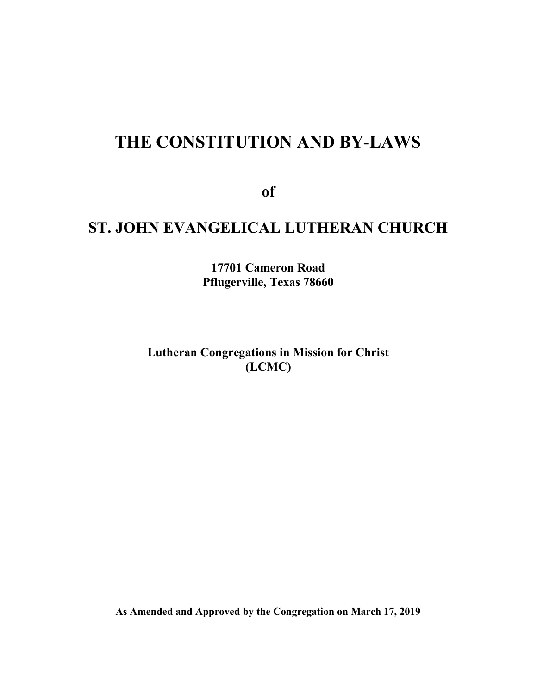# THE CONSTITUTION AND BY-LAWS

of

## ST. JOHN EVANGELICAL LUTHERAN CHURCH

17701 Cameron Road Pflugerville, Texas 78660

Lutheran Congregations in Mission for Christ (LCMC)

As Amended and Approved by the Congregation on March 17, 2019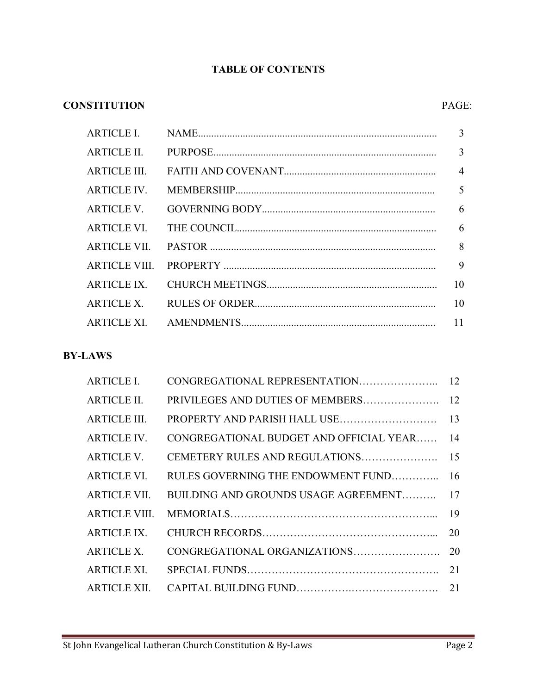## TABLE OF CONTENTS

## CONSTITUTION PAGE:

| ARTICLE II.  | 3  |
|--------------|----|
| ARTICLE III. |    |
| ARTICLE IV.  |    |
| ARTICLE V.   |    |
| ARTICLE VI.  |    |
|              |    |
|              |    |
| ARTICLE IX.  | 10 |
| ARTICLE X.   | 10 |
|              |    |

## BY-LAWS

| <b>ARTICLE I.</b>   | CONGREGATIONAL REPRESENTATION           | 12 |
|---------------------|-----------------------------------------|----|
| <b>ARTICLE II.</b>  | PRIVILEGES AND DUTIES OF MEMBERS        | 12 |
| <b>ARTICLE III.</b> |                                         |    |
| <b>ARTICLE IV.</b>  | CONGREGATIONAL BUDGET AND OFFICIAL YEAR | 14 |
| <b>ARTICLE V.</b>   |                                         |    |
| <b>ARTICLE VI.</b>  | RULES GOVERNING THE ENDOWMENT FUND      | 16 |
| ARTICLE VII.        | BUILDING AND GROUNDS USAGE AGREEMENT    | 17 |
| ARTICLE VIII.       |                                         |    |
| <b>ARTICLE IX.</b>  |                                         | 20 |
| <b>ARTICLE X.</b>   | CONGREGATIONAL ORGANIZATIONS            | 20 |
| <b>ARTICLE XI.</b>  |                                         |    |
| <b>ARTICLE XII.</b> |                                         |    |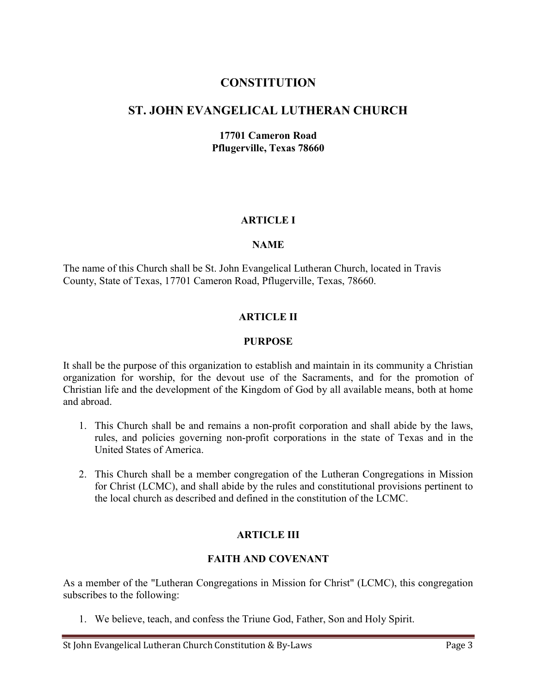## **CONSTITUTION**

## ST. JOHN EVANGELICAL LUTHERAN CHURCH

17701 Cameron Road Pflugerville, Texas 78660

#### ARTICLE I

#### **NAME**

The name of this Church shall be St. John Evangelical Lutheran Church, located in Travis County, State of Texas, 17701 Cameron Road, Pflugerville, Texas, 78660.

#### ARTICLE II

#### PURPOSE

It shall be the purpose of this organization to establish and maintain in its community a Christian organization for worship, for the devout use of the Sacraments, and for the promotion of Christian life and the development of the Kingdom of God by all available means, both at home and abroad.

- 1. This Church shall be and remains a non-profit corporation and shall abide by the laws, rules, and policies governing non-profit corporations in the state of Texas and in the United States of America.
- 2. This Church shall be a member congregation of the Lutheran Congregations in Mission for Christ (LCMC), and shall abide by the rules and constitutional provisions pertinent to the local church as described and defined in the constitution of the LCMC.

#### ARTICLE III

#### FAITH AND COVENANT

As a member of the "Lutheran Congregations in Mission for Christ" (LCMC), this congregation subscribes to the following:

1. We believe, teach, and confess the Triune God, Father, Son and Holy Spirit.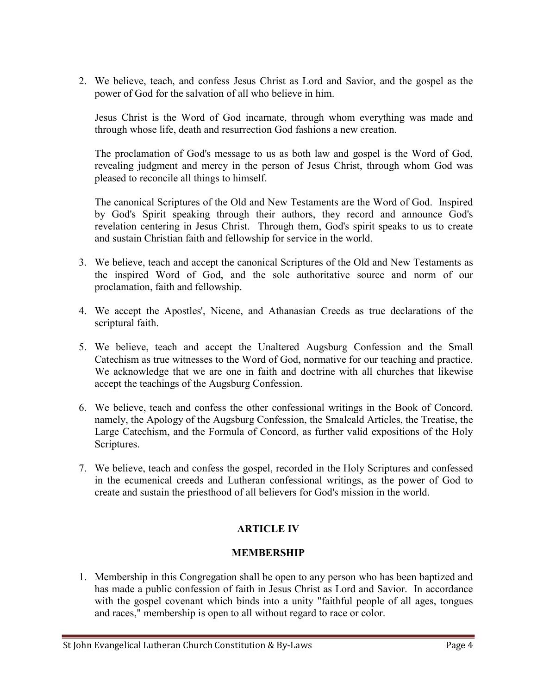2. We believe, teach, and confess Jesus Christ as Lord and Savior, and the gospel as the power of God for the salvation of all who believe in him.

Jesus Christ is the Word of God incarnate, through whom everything was made and through whose life, death and resurrection God fashions a new creation.

The proclamation of God's message to us as both law and gospel is the Word of God, revealing judgment and mercy in the person of Jesus Christ, through whom God was pleased to reconcile all things to himself.

The canonical Scriptures of the Old and New Testaments are the Word of God. Inspired by God's Spirit speaking through their authors, they record and announce God's revelation centering in Jesus Christ. Through them, God's spirit speaks to us to create and sustain Christian faith and fellowship for service in the world.

- 3. We believe, teach and accept the canonical Scriptures of the Old and New Testaments as the inspired Word of God, and the sole authoritative source and norm of our proclamation, faith and fellowship.
- 4. We accept the Apostles', Nicene, and Athanasian Creeds as true declarations of the scriptural faith.
- 5. We believe, teach and accept the Unaltered Augsburg Confession and the Small Catechism as true witnesses to the Word of God, normative for our teaching and practice. We acknowledge that we are one in faith and doctrine with all churches that likewise accept the teachings of the Augsburg Confession.
- 6. We believe, teach and confess the other confessional writings in the Book of Concord, namely, the Apology of the Augsburg Confession, the Smalcald Articles, the Treatise, the Large Catechism, and the Formula of Concord, as further valid expositions of the Holy Scriptures.
- 7. We believe, teach and confess the gospel, recorded in the Holy Scriptures and confessed in the ecumenical creeds and Lutheran confessional writings, as the power of God to create and sustain the priesthood of all believers for God's mission in the world.

## ARTICLE IV

## MEMBERSHIP

1. Membership in this Congregation shall be open to any person who has been baptized and has made a public confession of faith in Jesus Christ as Lord and Savior. In accordance with the gospel covenant which binds into a unity "faithful people of all ages, tongues and races," membership is open to all without regard to race or color.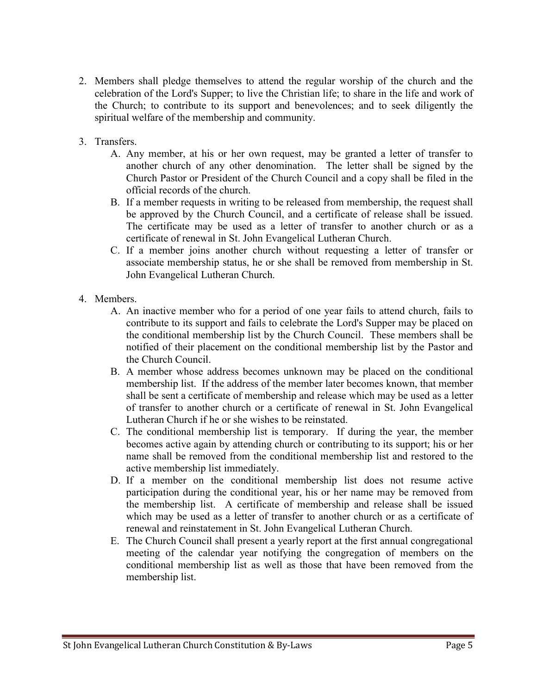- 2. Members shall pledge themselves to attend the regular worship of the church and the celebration of the Lord's Supper; to live the Christian life; to share in the life and work of the Church; to contribute to its support and benevolences; and to seek diligently the spiritual welfare of the membership and community.
- 3. Transfers.
	- A. Any member, at his or her own request, may be granted a letter of transfer to another church of any other denomination. The letter shall be signed by the Church Pastor or President of the Church Council and a copy shall be filed in the official records of the church.
	- B. If a member requests in writing to be released from membership, the request shall be approved by the Church Council, and a certificate of release shall be issued. The certificate may be used as a letter of transfer to another church or as a certificate of renewal in St. John Evangelical Lutheran Church.
	- C. If a member joins another church without requesting a letter of transfer or associate membership status, he or she shall be removed from membership in St. John Evangelical Lutheran Church.
- 4. Members.
	- A. An inactive member who for a period of one year fails to attend church, fails to contribute to its support and fails to celebrate the Lord's Supper may be placed on the conditional membership list by the Church Council. These members shall be notified of their placement on the conditional membership list by the Pastor and the Church Council.
	- B. A member whose address becomes unknown may be placed on the conditional membership list. If the address of the member later becomes known, that member shall be sent a certificate of membership and release which may be used as a letter of transfer to another church or a certificate of renewal in St. John Evangelical Lutheran Church if he or she wishes to be reinstated.
	- C. The conditional membership list is temporary. If during the year, the member becomes active again by attending church or contributing to its support; his or her name shall be removed from the conditional membership list and restored to the active membership list immediately.
	- D. If a member on the conditional membership list does not resume active participation during the conditional year, his or her name may be removed from the membership list. A certificate of membership and release shall be issued which may be used as a letter of transfer to another church or as a certificate of renewal and reinstatement in St. John Evangelical Lutheran Church.
	- E. The Church Council shall present a yearly report at the first annual congregational meeting of the calendar year notifying the congregation of members on the conditional membership list as well as those that have been removed from the membership list.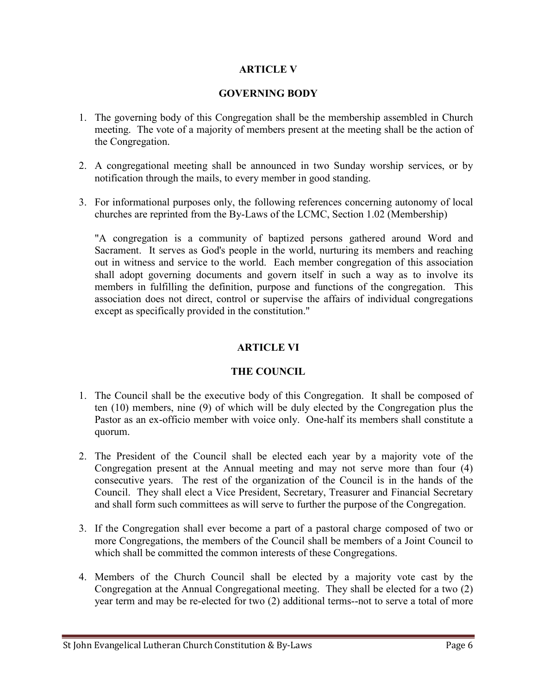#### ARTICLE V

#### GOVERNING BODY

- 1. The governing body of this Congregation shall be the membership assembled in Church meeting. The vote of a majority of members present at the meeting shall be the action of the Congregation.
- 2. A congregational meeting shall be announced in two Sunday worship services, or by notification through the mails, to every member in good standing.
- 3. For informational purposes only, the following references concerning autonomy of local churches are reprinted from the By-Laws of the LCMC, Section 1.02 (Membership)

"A congregation is a community of baptized persons gathered around Word and Sacrament. It serves as God's people in the world, nurturing its members and reaching out in witness and service to the world. Each member congregation of this association shall adopt governing documents and govern itself in such a way as to involve its members in fulfilling the definition, purpose and functions of the congregation. This association does not direct, control or supervise the affairs of individual congregations except as specifically provided in the constitution."

#### ARTICLE VI

#### THE COUNCIL

- 1. The Council shall be the executive body of this Congregation. It shall be composed of ten (10) members, nine (9) of which will be duly elected by the Congregation plus the Pastor as an ex-officio member with voice only. One-half its members shall constitute a quorum.
- 2. The President of the Council shall be elected each year by a majority vote of the Congregation present at the Annual meeting and may not serve more than four (4) consecutive years. The rest of the organization of the Council is in the hands of the Council. They shall elect a Vice President, Secretary, Treasurer and Financial Secretary and shall form such committees as will serve to further the purpose of the Congregation.
- 3. If the Congregation shall ever become a part of a pastoral charge composed of two or more Congregations, the members of the Council shall be members of a Joint Council to which shall be committed the common interests of these Congregations.
- 4. Members of the Church Council shall be elected by a majority vote cast by the Congregation at the Annual Congregational meeting. They shall be elected for a two (2) year term and may be re-elected for two (2) additional terms--not to serve a total of more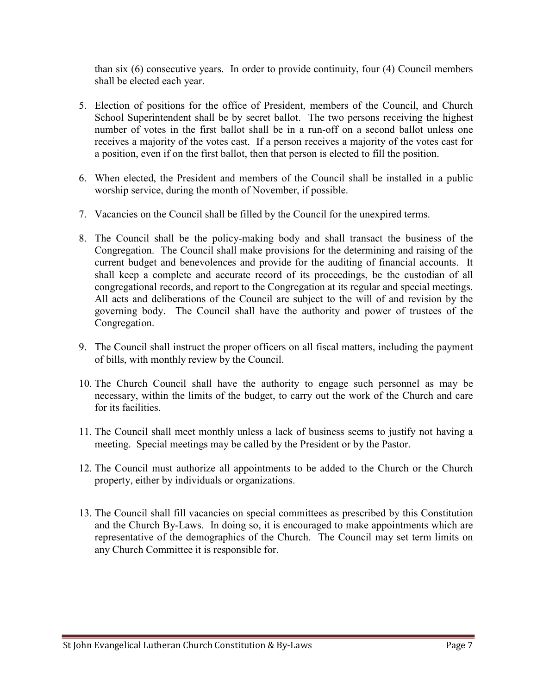than six (6) consecutive years. In order to provide continuity, four (4) Council members shall be elected each year.

- 5. Election of positions for the office of President, members of the Council, and Church School Superintendent shall be by secret ballot. The two persons receiving the highest number of votes in the first ballot shall be in a run-off on a second ballot unless one receives a majority of the votes cast. If a person receives a majority of the votes cast for a position, even if on the first ballot, then that person is elected to fill the position.
- 6. When elected, the President and members of the Council shall be installed in a public worship service, during the month of November, if possible.
- 7. Vacancies on the Council shall be filled by the Council for the unexpired terms.
- 8. The Council shall be the policy-making body and shall transact the business of the Congregation. The Council shall make provisions for the determining and raising of the current budget and benevolences and provide for the auditing of financial accounts. It shall keep a complete and accurate record of its proceedings, be the custodian of all congregational records, and report to the Congregation at its regular and special meetings. All acts and deliberations of the Council are subject to the will of and revision by the governing body. The Council shall have the authority and power of trustees of the Congregation.
- 9. The Council shall instruct the proper officers on all fiscal matters, including the payment of bills, with monthly review by the Council.
- 10. The Church Council shall have the authority to engage such personnel as may be necessary, within the limits of the budget, to carry out the work of the Church and care for its facilities.
- 11. The Council shall meet monthly unless a lack of business seems to justify not having a meeting. Special meetings may be called by the President or by the Pastor.
- 12. The Council must authorize all appointments to be added to the Church or the Church property, either by individuals or organizations.
- 13. The Council shall fill vacancies on special committees as prescribed by this Constitution and the Church By-Laws. In doing so, it is encouraged to make appointments which are representative of the demographics of the Church. The Council may set term limits on any Church Committee it is responsible for.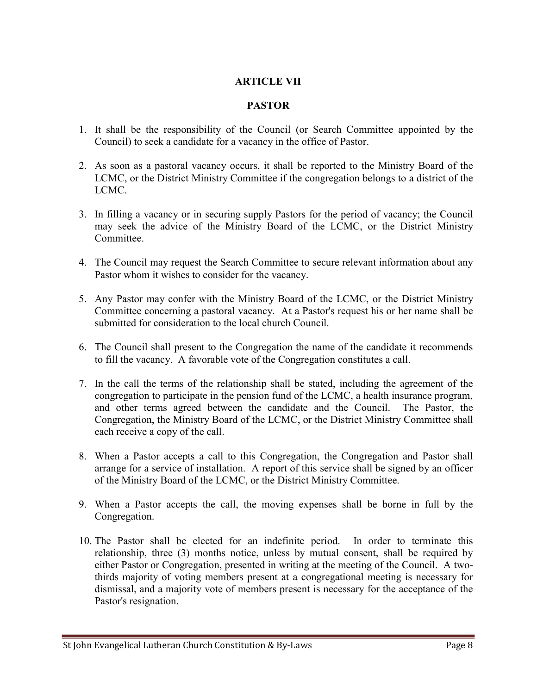#### ARTICLE VII

#### PASTOR

- 1. It shall be the responsibility of the Council (or Search Committee appointed by the Council) to seek a candidate for a vacancy in the office of Pastor.
- 2. As soon as a pastoral vacancy occurs, it shall be reported to the Ministry Board of the LCMC, or the District Ministry Committee if the congregation belongs to a district of the LCMC.
- 3. In filling a vacancy or in securing supply Pastors for the period of vacancy; the Council may seek the advice of the Ministry Board of the LCMC, or the District Ministry Committee.
- 4. The Council may request the Search Committee to secure relevant information about any Pastor whom it wishes to consider for the vacancy.
- 5. Any Pastor may confer with the Ministry Board of the LCMC, or the District Ministry Committee concerning a pastoral vacancy. At a Pastor's request his or her name shall be submitted for consideration to the local church Council.
- 6. The Council shall present to the Congregation the name of the candidate it recommends to fill the vacancy. A favorable vote of the Congregation constitutes a call.
- 7. In the call the terms of the relationship shall be stated, including the agreement of the congregation to participate in the pension fund of the LCMC, a health insurance program, and other terms agreed between the candidate and the Council. The Pastor, the Congregation, the Ministry Board of the LCMC, or the District Ministry Committee shall each receive a copy of the call.
- 8. When a Pastor accepts a call to this Congregation, the Congregation and Pastor shall arrange for a service of installation. A report of this service shall be signed by an officer of the Ministry Board of the LCMC, or the District Ministry Committee.
- 9. When a Pastor accepts the call, the moving expenses shall be borne in full by the Congregation.
- 10. The Pastor shall be elected for an indefinite period. In order to terminate this relationship, three (3) months notice, unless by mutual consent, shall be required by either Pastor or Congregation, presented in writing at the meeting of the Council. A twothirds majority of voting members present at a congregational meeting is necessary for dismissal, and a majority vote of members present is necessary for the acceptance of the Pastor's resignation.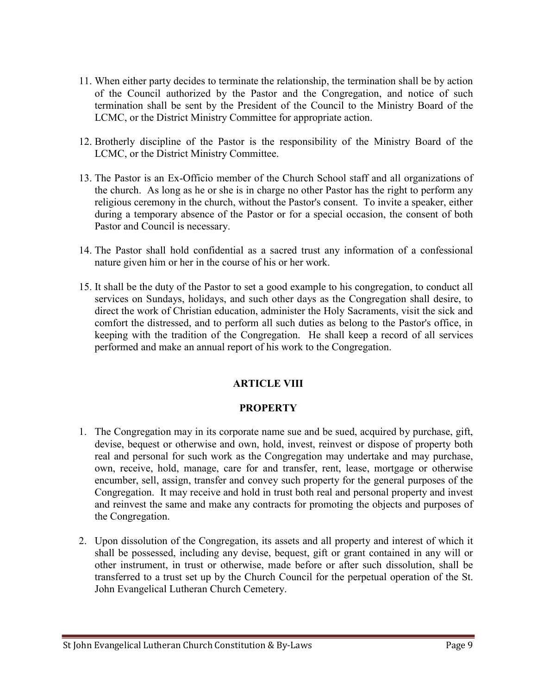- 11. When either party decides to terminate the relationship, the termination shall be by action of the Council authorized by the Pastor and the Congregation, and notice of such termination shall be sent by the President of the Council to the Ministry Board of the LCMC, or the District Ministry Committee for appropriate action.
- 12. Brotherly discipline of the Pastor is the responsibility of the Ministry Board of the LCMC, or the District Ministry Committee.
- 13. The Pastor is an Ex-Officio member of the Church School staff and all organizations of the church. As long as he or she is in charge no other Pastor has the right to perform any religious ceremony in the church, without the Pastor's consent. To invite a speaker, either during a temporary absence of the Pastor or for a special occasion, the consent of both Pastor and Council is necessary.
- 14. The Pastor shall hold confidential as a sacred trust any information of a confessional nature given him or her in the course of his or her work.
- 15. It shall be the duty of the Pastor to set a good example to his congregation, to conduct all services on Sundays, holidays, and such other days as the Congregation shall desire, to direct the work of Christian education, administer the Holy Sacraments, visit the sick and comfort the distressed, and to perform all such duties as belong to the Pastor's office, in keeping with the tradition of the Congregation. He shall keep a record of all services performed and make an annual report of his work to the Congregation.

## ARTICLE VIII

#### **PROPERTY**

- 1. The Congregation may in its corporate name sue and be sued, acquired by purchase, gift, devise, bequest or otherwise and own, hold, invest, reinvest or dispose of property both real and personal for such work as the Congregation may undertake and may purchase, own, receive, hold, manage, care for and transfer, rent, lease, mortgage or otherwise encumber, sell, assign, transfer and convey such property for the general purposes of the Congregation. It may receive and hold in trust both real and personal property and invest and reinvest the same and make any contracts for promoting the objects and purposes of the Congregation.
- 2. Upon dissolution of the Congregation, its assets and all property and interest of which it shall be possessed, including any devise, bequest, gift or grant contained in any will or other instrument, in trust or otherwise, made before or after such dissolution, shall be transferred to a trust set up by the Church Council for the perpetual operation of the St. John Evangelical Lutheran Church Cemetery.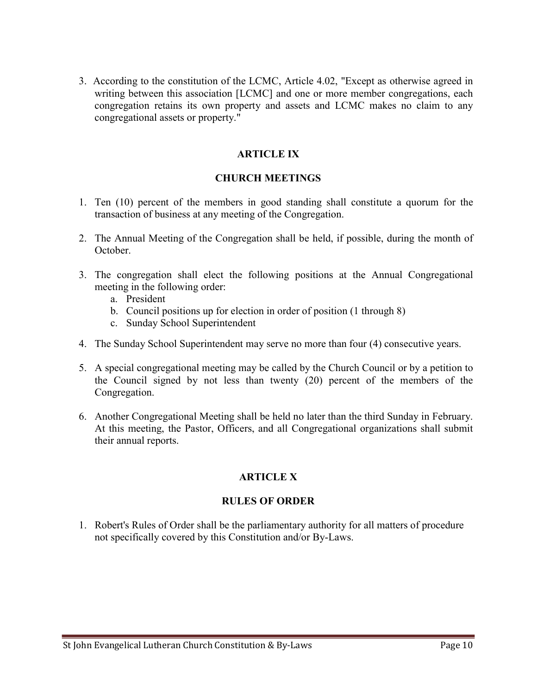3. According to the constitution of the LCMC, Article 4.02, "Except as otherwise agreed in writing between this association [LCMC] and one or more member congregations, each congregation retains its own property and assets and LCMC makes no claim to any congregational assets or property."

#### ARTICLE IX

#### CHURCH MEETINGS

- 1. Ten (10) percent of the members in good standing shall constitute a quorum for the transaction of business at any meeting of the Congregation.
- 2. The Annual Meeting of the Congregation shall be held, if possible, during the month of October.
- 3. The congregation shall elect the following positions at the Annual Congregational meeting in the following order:
	- a. President
	- b. Council positions up for election in order of position (1 through 8)
	- c. Sunday School Superintendent
- 4. The Sunday School Superintendent may serve no more than four (4) consecutive years.
- 5. A special congregational meeting may be called by the Church Council or by a petition to the Council signed by not less than twenty (20) percent of the members of the Congregation.
- 6. Another Congregational Meeting shall be held no later than the third Sunday in February. At this meeting, the Pastor, Officers, and all Congregational organizations shall submit their annual reports.

## ARTICLE X

#### RULES OF ORDER

1. Robert's Rules of Order shall be the parliamentary authority for all matters of procedure not specifically covered by this Constitution and/or By-Laws.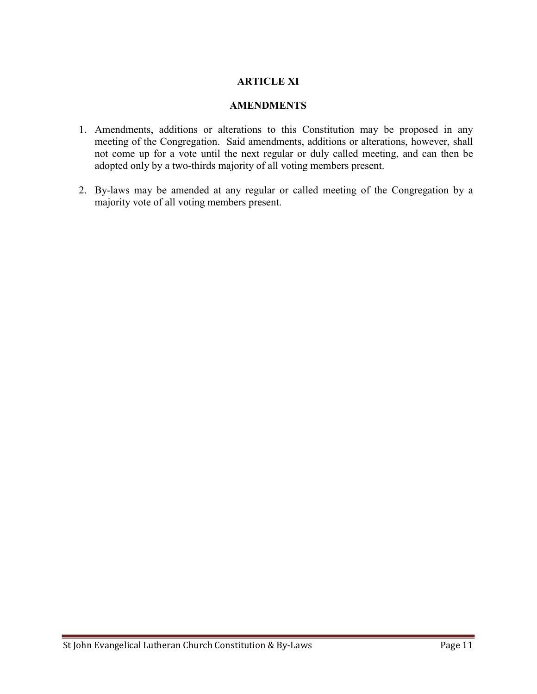#### ARTICLE XI

#### **AMENDMENTS**

- 1. Amendments, additions or alterations to this Constitution may be proposed in any meeting of the Congregation. Said amendments, additions or alterations, however, shall not come up for a vote until the next regular or duly called meeting, and can then be adopted only by a two-thirds majority of all voting members present.
- 2. By-laws may be amended at any regular or called meeting of the Congregation by a majority vote of all voting members present.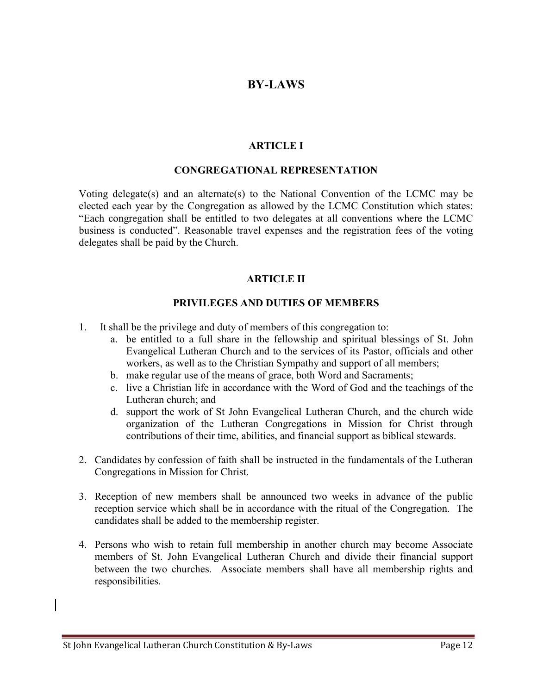## BY-LAWS

#### ARTICLE I

#### CONGREGATIONAL REPRESENTATION

Voting delegate(s) and an alternate(s) to the National Convention of the LCMC may be elected each year by the Congregation as allowed by the LCMC Constitution which states: "Each congregation shall be entitled to two delegates at all conventions where the LCMC business is conducted". Reasonable travel expenses and the registration fees of the voting delegates shall be paid by the Church.

#### ARTICLE II

#### PRIVILEGES AND DUTIES OF MEMBERS

- 1. It shall be the privilege and duty of members of this congregation to:
	- a. be entitled to a full share in the fellowship and spiritual blessings of St. John Evangelical Lutheran Church and to the services of its Pastor, officials and other workers, as well as to the Christian Sympathy and support of all members;
	- b. make regular use of the means of grace, both Word and Sacraments;
	- c. live a Christian life in accordance with the Word of God and the teachings of the Lutheran church; and
	- d. support the work of St John Evangelical Lutheran Church, and the church wide organization of the Lutheran Congregations in Mission for Christ through contributions of their time, abilities, and financial support as biblical stewards.
- 2. Candidates by confession of faith shall be instructed in the fundamentals of the Lutheran Congregations in Mission for Christ.
- 3. Reception of new members shall be announced two weeks in advance of the public reception service which shall be in accordance with the ritual of the Congregation. The candidates shall be added to the membership register.
- 4. Persons who wish to retain full membership in another church may become Associate members of St. John Evangelical Lutheran Church and divide their financial support between the two churches. Associate members shall have all membership rights and responsibilities.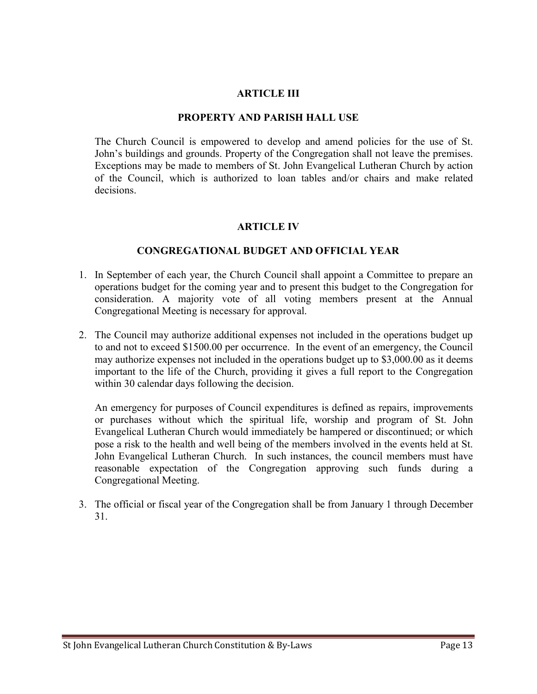#### ARTICLE III

#### PROPERTY AND PARISH HALL USE

The Church Council is empowered to develop and amend policies for the use of St. John's buildings and grounds. Property of the Congregation shall not leave the premises. Exceptions may be made to members of St. John Evangelical Lutheran Church by action of the Council, which is authorized to loan tables and/or chairs and make related decisions.

#### ARTICLE IV

#### CONGREGATIONAL BUDGET AND OFFICIAL YEAR

- 1. In September of each year, the Church Council shall appoint a Committee to prepare an operations budget for the coming year and to present this budget to the Congregation for consideration. A majority vote of all voting members present at the Annual Congregational Meeting is necessary for approval.
- 2. The Council may authorize additional expenses not included in the operations budget up to and not to exceed \$1500.00 per occurrence. In the event of an emergency, the Council may authorize expenses not included in the operations budget up to \$3,000.00 as it deems important to the life of the Church, providing it gives a full report to the Congregation within 30 calendar days following the decision.

An emergency for purposes of Council expenditures is defined as repairs, improvements or purchases without which the spiritual life, worship and program of St. John Evangelical Lutheran Church would immediately be hampered or discontinued; or which pose a risk to the health and well being of the members involved in the events held at St. John Evangelical Lutheran Church. In such instances, the council members must have reasonable expectation of the Congregation approving such funds during a Congregational Meeting.

3. The official or fiscal year of the Congregation shall be from January 1 through December 31.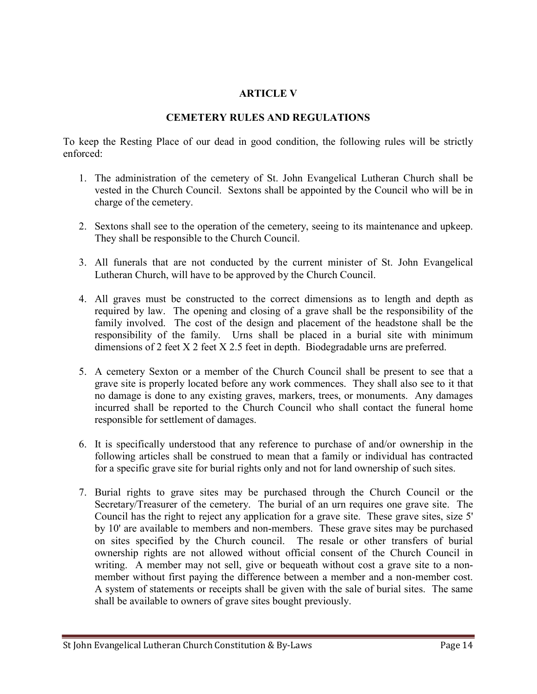## ARTICLE V

#### CEMETERY RULES AND REGULATIONS

To keep the Resting Place of our dead in good condition, the following rules will be strictly enforced:

- 1. The administration of the cemetery of St. John Evangelical Lutheran Church shall be vested in the Church Council. Sextons shall be appointed by the Council who will be in charge of the cemetery.
- 2. Sextons shall see to the operation of the cemetery, seeing to its maintenance and upkeep. They shall be responsible to the Church Council.
- 3. All funerals that are not conducted by the current minister of St. John Evangelical Lutheran Church, will have to be approved by the Church Council.
- 4. All graves must be constructed to the correct dimensions as to length and depth as required by law. The opening and closing of a grave shall be the responsibility of the family involved. The cost of the design and placement of the headstone shall be the responsibility of the family. Urns shall be placed in a burial site with minimum dimensions of 2 feet X 2 feet X 2.5 feet in depth. Biodegradable urns are preferred.
- 5. A cemetery Sexton or a member of the Church Council shall be present to see that a grave site is properly located before any work commences. They shall also see to it that no damage is done to any existing graves, markers, trees, or monuments. Any damages incurred shall be reported to the Church Council who shall contact the funeral home responsible for settlement of damages.
- 6. It is specifically understood that any reference to purchase of and/or ownership in the following articles shall be construed to mean that a family or individual has contracted for a specific grave site for burial rights only and not for land ownership of such sites.
- 7. Burial rights to grave sites may be purchased through the Church Council or the Secretary/Treasurer of the cemetery. The burial of an urn requires one grave site. The Council has the right to reject any application for a grave site. These grave sites, size 5' by 10' are available to members and non-members. These grave sites may be purchased on sites specified by the Church council. The resale or other transfers of burial ownership rights are not allowed without official consent of the Church Council in writing. A member may not sell, give or bequeath without cost a grave site to a nonmember without first paying the difference between a member and a non-member cost. A system of statements or receipts shall be given with the sale of burial sites. The same shall be available to owners of grave sites bought previously.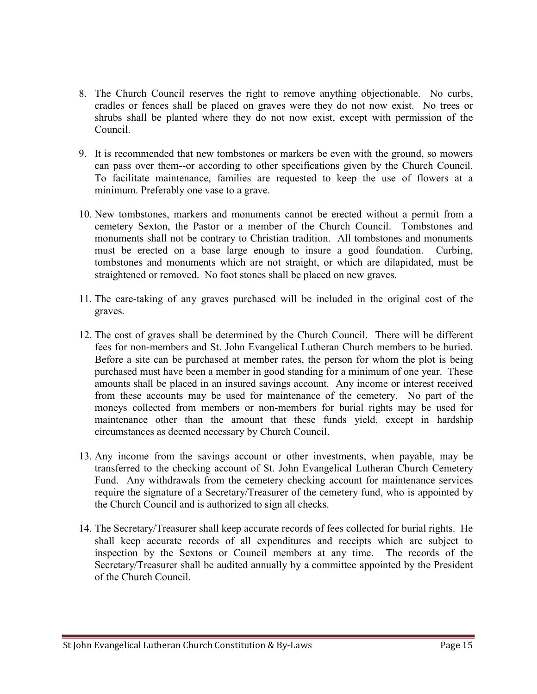- 8. The Church Council reserves the right to remove anything objectionable. No curbs, cradles or fences shall be placed on graves were they do not now exist. No trees or shrubs shall be planted where they do not now exist, except with permission of the Council.
- 9. It is recommended that new tombstones or markers be even with the ground, so mowers can pass over them--or according to other specifications given by the Church Council. To facilitate maintenance, families are requested to keep the use of flowers at a minimum. Preferably one vase to a grave.
- 10. New tombstones, markers and monuments cannot be erected without a permit from a cemetery Sexton, the Pastor or a member of the Church Council. Tombstones and monuments shall not be contrary to Christian tradition. All tombstones and monuments must be erected on a base large enough to insure a good foundation. Curbing, tombstones and monuments which are not straight, or which are dilapidated, must be straightened or removed. No foot stones shall be placed on new graves.
- 11. The care-taking of any graves purchased will be included in the original cost of the graves.
- 12. The cost of graves shall be determined by the Church Council. There will be different fees for non-members and St. John Evangelical Lutheran Church members to be buried. Before a site can be purchased at member rates, the person for whom the plot is being purchased must have been a member in good standing for a minimum of one year. These amounts shall be placed in an insured savings account. Any income or interest received from these accounts may be used for maintenance of the cemetery. No part of the moneys collected from members or non-members for burial rights may be used for maintenance other than the amount that these funds yield, except in hardship circumstances as deemed necessary by Church Council.
- 13. Any income from the savings account or other investments, when payable, may be transferred to the checking account of St. John Evangelical Lutheran Church Cemetery Fund. Any withdrawals from the cemetery checking account for maintenance services require the signature of a Secretary/Treasurer of the cemetery fund, who is appointed by the Church Council and is authorized to sign all checks.
- 14. The Secretary/Treasurer shall keep accurate records of fees collected for burial rights. He shall keep accurate records of all expenditures and receipts which are subject to inspection by the Sextons or Council members at any time. The records of the Secretary/Treasurer shall be audited annually by a committee appointed by the President of the Church Council.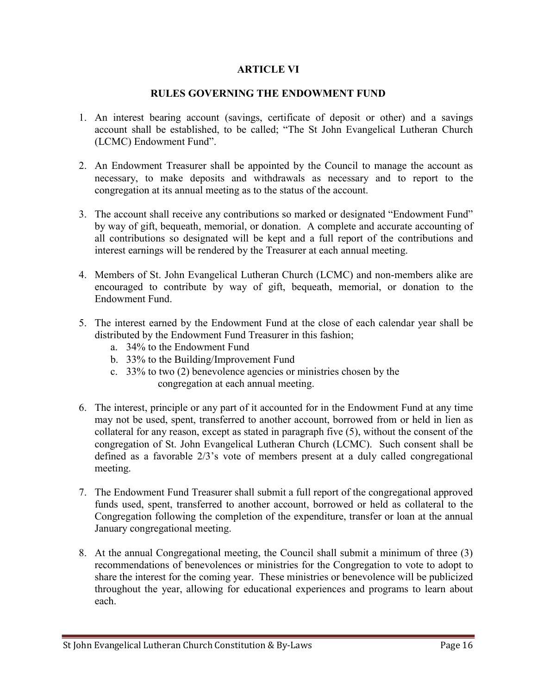#### ARTICLE VI

#### RULES GOVERNING THE ENDOWMENT FUND

- 1. An interest bearing account (savings, certificate of deposit or other) and a savings account shall be established, to be called; "The St John Evangelical Lutheran Church (LCMC) Endowment Fund".
- 2. An Endowment Treasurer shall be appointed by the Council to manage the account as necessary, to make deposits and withdrawals as necessary and to report to the congregation at its annual meeting as to the status of the account.
- 3. The account shall receive any contributions so marked or designated "Endowment Fund" by way of gift, bequeath, memorial, or donation. A complete and accurate accounting of all contributions so designated will be kept and a full report of the contributions and interest earnings will be rendered by the Treasurer at each annual meeting.
- 4. Members of St. John Evangelical Lutheran Church (LCMC) and non-members alike are encouraged to contribute by way of gift, bequeath, memorial, or donation to the Endowment Fund.
- 5. The interest earned by the Endowment Fund at the close of each calendar year shall be distributed by the Endowment Fund Treasurer in this fashion;
	- a. 34% to the Endowment Fund
	- b. 33% to the Building/Improvement Fund
	- c. 33% to two (2) benevolence agencies or ministries chosen by the congregation at each annual meeting.
- 6. The interest, principle or any part of it accounted for in the Endowment Fund at any time may not be used, spent, transferred to another account, borrowed from or held in lien as collateral for any reason, except as stated in paragraph five (5), without the consent of the congregation of St. John Evangelical Lutheran Church (LCMC). Such consent shall be defined as a favorable 2/3's vote of members present at a duly called congregational meeting.
- 7. The Endowment Fund Treasurer shall submit a full report of the congregational approved funds used, spent, transferred to another account, borrowed or held as collateral to the Congregation following the completion of the expenditure, transfer or loan at the annual January congregational meeting.
- 8. At the annual Congregational meeting, the Council shall submit a minimum of three (3) recommendations of benevolences or ministries for the Congregation to vote to adopt to share the interest for the coming year. These ministries or benevolence will be publicized throughout the year, allowing for educational experiences and programs to learn about each.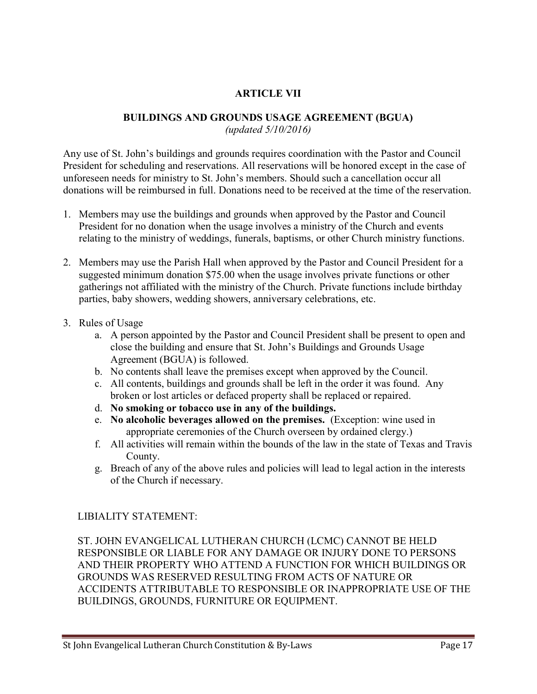## ARTICLE VII

#### BUILDINGS AND GROUNDS USAGE AGREEMENT (BGUA)

(updated 5/10/2016)

Any use of St. John's buildings and grounds requires coordination with the Pastor and Council President for scheduling and reservations. All reservations will be honored except in the case of unforeseen needs for ministry to St. John's members. Should such a cancellation occur all donations will be reimbursed in full. Donations need to be received at the time of the reservation.

- 1. Members may use the buildings and grounds when approved by the Pastor and Council President for no donation when the usage involves a ministry of the Church and events relating to the ministry of weddings, funerals, baptisms, or other Church ministry functions.
- 2. Members may use the Parish Hall when approved by the Pastor and Council President for a suggested minimum donation \$75.00 when the usage involves private functions or other gatherings not affiliated with the ministry of the Church. Private functions include birthday parties, baby showers, wedding showers, anniversary celebrations, etc.
- 3. Rules of Usage
	- a. A person appointed by the Pastor and Council President shall be present to open and close the building and ensure that St. John's Buildings and Grounds Usage Agreement (BGUA) is followed.
	- b. No contents shall leave the premises except when approved by the Council.
	- c. All contents, buildings and grounds shall be left in the order it was found. Any broken or lost articles or defaced property shall be replaced or repaired.
	- d. No smoking or tobacco use in any of the buildings.
	- e. No alcoholic beverages allowed on the premises. (Exception: wine used in appropriate ceremonies of the Church overseen by ordained clergy.)
	- f. All activities will remain within the bounds of the law in the state of Texas and Travis County.
	- g. Breach of any of the above rules and policies will lead to legal action in the interests of the Church if necessary.

#### LIBIALITY STATEMENT:

ST. JOHN EVANGELICAL LUTHERAN CHURCH (LCMC) CANNOT BE HELD RESPONSIBLE OR LIABLE FOR ANY DAMAGE OR INJURY DONE TO PERSONS AND THEIR PROPERTY WHO ATTEND A FUNCTION FOR WHICH BUILDINGS OR GROUNDS WAS RESERVED RESULTING FROM ACTS OF NATURE OR ACCIDENTS ATTRIBUTABLE TO RESPONSIBLE OR INAPPROPRIATE USE OF THE BUILDINGS, GROUNDS, FURNITURE OR EQUIPMENT.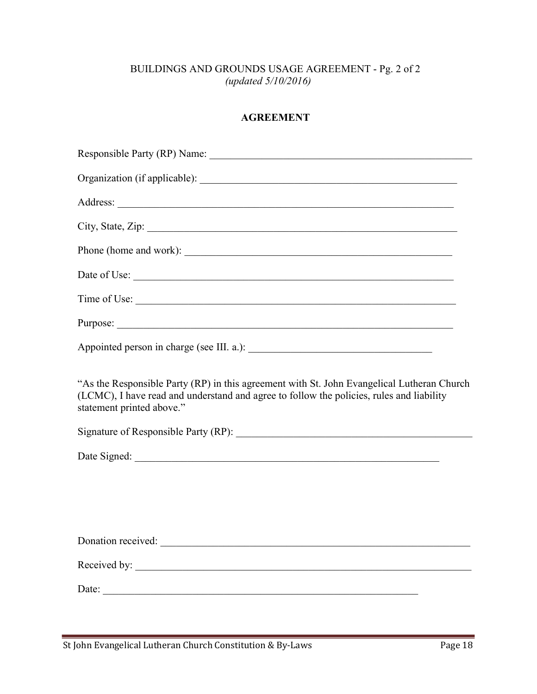## BUILDINGS AND GROUNDS USAGE AGREEMENT - Pg. 2 of 2 (updated 5/10/2016)

#### AGREEMENT

| Phone (home and work):                                                                                                                                                                                              |
|---------------------------------------------------------------------------------------------------------------------------------------------------------------------------------------------------------------------|
|                                                                                                                                                                                                                     |
|                                                                                                                                                                                                                     |
|                                                                                                                                                                                                                     |
|                                                                                                                                                                                                                     |
| "As the Responsible Party (RP) in this agreement with St. John Evangelical Lutheran Church<br>(LCMC), I have read and understand and agree to follow the policies, rules and liability<br>statement printed above." |
|                                                                                                                                                                                                                     |
|                                                                                                                                                                                                                     |
|                                                                                                                                                                                                                     |
|                                                                                                                                                                                                                     |
|                                                                                                                                                                                                                     |
|                                                                                                                                                                                                                     |
| Received by:                                                                                                                                                                                                        |
|                                                                                                                                                                                                                     |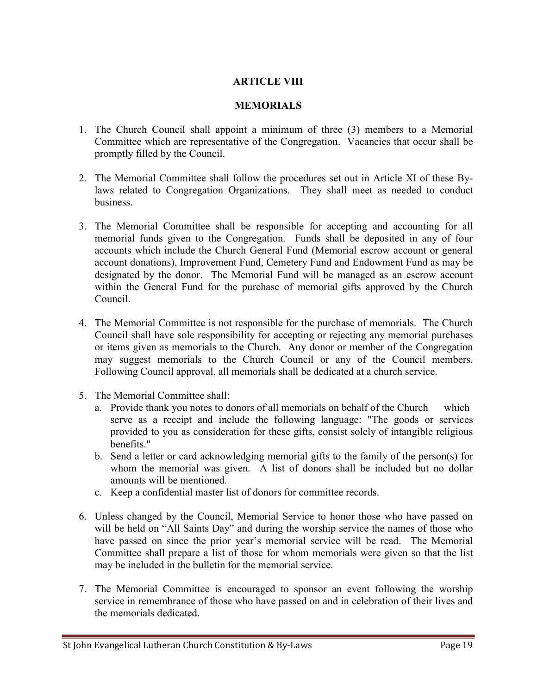#### ARTICLE VIII

#### **MEMORIALS**

- 1. The Church Council shall appoint a minimum of three (3) members to a Memorial Committee which are representative of the Congregation. Vacancies that occur shall be promptly filled by the Council.
- 2. The Memorial Committee shall follow the procedures set out in Article XI of these Bylaws related to Congregation Organizations. They shall meet as needed to conduct business.
- 3. The Memorial Committee shall be responsible for accepting and accounting for all memorial funds given to the Congregation. Funds shall be deposited in any of four accounts which include the Church General Fund (Memorial escrow account or general account donations), Improvement Fund, Cemetery Fund and Endowment Fund as may be designated by the donor. The Memorial Fund will be managed as an escrow account within the General Fund for the purchase of memorial gifts approved by the Church Council.
- 4. The Memorial Committee is not responsible for the purchase of memorials. The Church Council shall have sole responsibility for accepting or rejecting any memorial purchases or items given as memorials to the Church. Any donor or member of the Congregation may suggest memorials to the Church Council or any of the Council members. Following Council approval, all memorials shall be dedicated at a church service.
- 5. The Memorial Committee shall:
	- a. Provide thank you notes to donors of all memorials on behalf of the Church which serve as a receipt and include the following language: "The goods or services provided to you as consideration for these gifts, consist solely of intangible religious benefits."
	- b. Send a letter or card acknowledging memorial gifts to the family of the person(s) for whom the memorial was given. A list of donors shall be included but no dollar amounts will be mentioned.
	- c. Keep a confidential master list of donors for committee records.
- 6. Unless changed by the Council, Memorial Service to honor those who have passed on will be held on "All Saints Day" and during the worship service the names of those who have passed on since the prior year's memorial service will be read. The Memorial Committee shall prepare a list of those for whom memorials were given so that the list may be included in the bulletin for the memorial service.
- 7. The Memorial Committee is encouraged to sponsor an event following the worship service in remembrance of those who have passed on and in celebration of their lives and the memorials dedicated.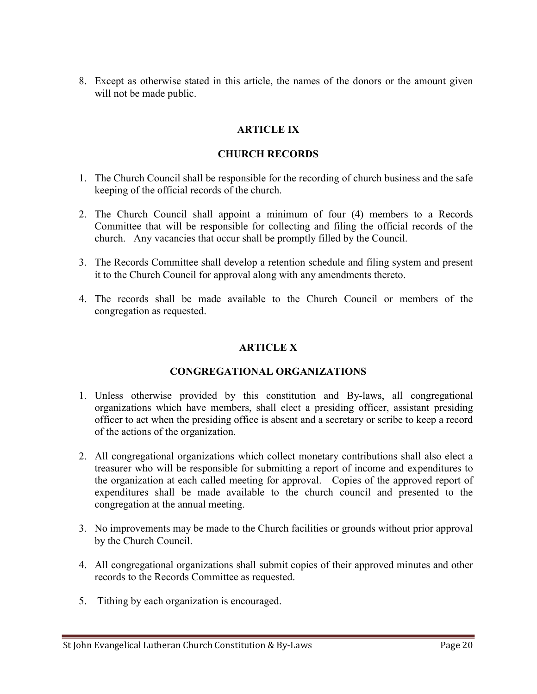8. Except as otherwise stated in this article, the names of the donors or the amount given will not be made public.

## ARTICLE IX

#### CHURCH RECORDS

- 1. The Church Council shall be responsible for the recording of church business and the safe keeping of the official records of the church.
- 2. The Church Council shall appoint a minimum of four (4) members to a Records Committee that will be responsible for collecting and filing the official records of the church. Any vacancies that occur shall be promptly filled by the Council.
- 3. The Records Committee shall develop a retention schedule and filing system and present it to the Church Council for approval along with any amendments thereto.
- 4. The records shall be made available to the Church Council or members of the congregation as requested.

#### ARTICLE X

#### CONGREGATIONAL ORGANIZATIONS

- 1. Unless otherwise provided by this constitution and By-laws, all congregational organizations which have members, shall elect a presiding officer, assistant presiding officer to act when the presiding office is absent and a secretary or scribe to keep a record of the actions of the organization.
- 2. All congregational organizations which collect monetary contributions shall also elect a treasurer who will be responsible for submitting a report of income and expenditures to the organization at each called meeting for approval. Copies of the approved report of expenditures shall be made available to the church council and presented to the congregation at the annual meeting.
- 3. No improvements may be made to the Church facilities or grounds without prior approval by the Church Council.
- 4. All congregational organizations shall submit copies of their approved minutes and other records to the Records Committee as requested.
- 5. Tithing by each organization is encouraged.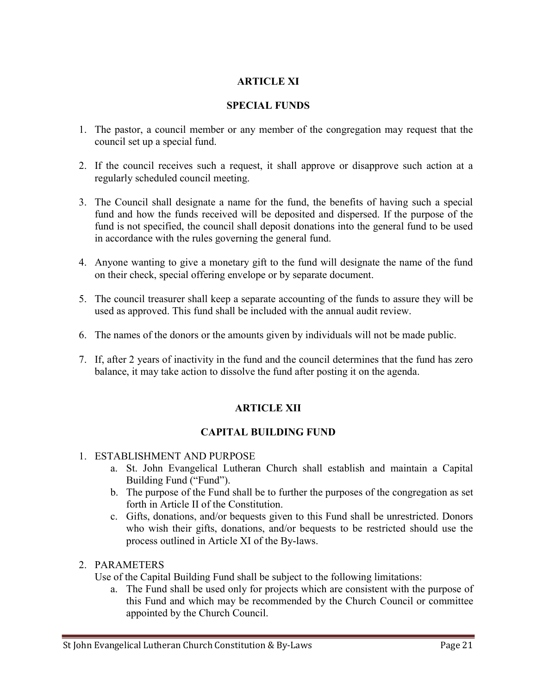## ARTICLE XI

#### SPECIAL FUNDS

- 1. The pastor, a council member or any member of the congregation may request that the council set up a special fund.
- 2. If the council receives such a request, it shall approve or disapprove such action at a regularly scheduled council meeting.
- 3. The Council shall designate a name for the fund, the benefits of having such a special fund and how the funds received will be deposited and dispersed. If the purpose of the fund is not specified, the council shall deposit donations into the general fund to be used in accordance with the rules governing the general fund.
- 4. Anyone wanting to give a monetary gift to the fund will designate the name of the fund on their check, special offering envelope or by separate document.
- 5. The council treasurer shall keep a separate accounting of the funds to assure they will be used as approved. This fund shall be included with the annual audit review.
- 6. The names of the donors or the amounts given by individuals will not be made public.
- 7. If, after 2 years of inactivity in the fund and the council determines that the fund has zero balance, it may take action to dissolve the fund after posting it on the agenda.

## ARTICLE XII

#### CAPITAL BUILDING FUND

#### 1. ESTABLISHMENT AND PURPOSE

- a. St. John Evangelical Lutheran Church shall establish and maintain a Capital Building Fund ("Fund").
- b. The purpose of the Fund shall be to further the purposes of the congregation as set forth in Article II of the Constitution.
- c. Gifts, donations, and/or bequests given to this Fund shall be unrestricted. Donors who wish their gifts, donations, and/or bequests to be restricted should use the process outlined in Article XI of the By-laws.

#### 2. PARAMETERS

Use of the Capital Building Fund shall be subject to the following limitations:

a. The Fund shall be used only for projects which are consistent with the purpose of this Fund and which may be recommended by the Church Council or committee appointed by the Church Council.